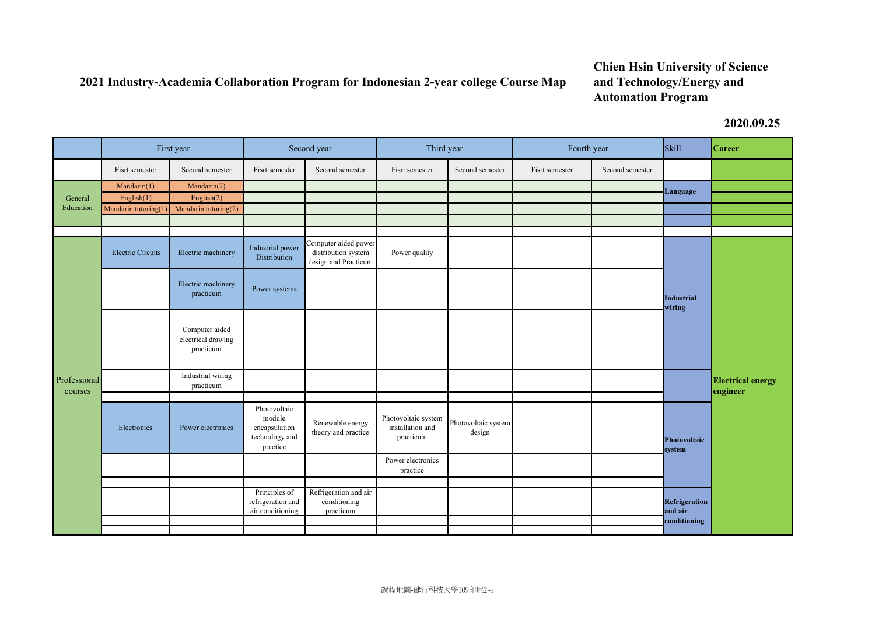## **2021 Industry-Academia Collaboration Program for Indonesian 2-year college Course Map**

## **Chien Hsin University of Science and Technology/Energy and Automation Program**

**2020.09.25**

|                         | First year                   |                                                   | Second year                                                           |                                                                     | Third year                                           |                               | Fourth year    |                 | <b>Skill</b>                                                                     | <b>Career</b>                        |
|-------------------------|------------------------------|---------------------------------------------------|-----------------------------------------------------------------------|---------------------------------------------------------------------|------------------------------------------------------|-------------------------------|----------------|-----------------|----------------------------------------------------------------------------------|--------------------------------------|
|                         | Fisrt semester               | Second semester                                   | Fisrt semester                                                        | Second semester                                                     | Fisrt semester                                       | Second semester               | Fisrt semester | Second semester |                                                                                  |                                      |
| General<br>Education    | Mandarin(1)<br>English $(1)$ | Mandarin(2)<br>English $(2)$                      |                                                                       |                                                                     |                                                      |                               |                |                 | Language                                                                         |                                      |
|                         | Mandarin tutoring(1          | Mandarin tutoring(2)                              |                                                                       |                                                                     |                                                      |                               |                |                 |                                                                                  |                                      |
| Professional<br>courses | <b>Electric Circuits</b>     | Electric machinery                                | Industrial power<br>Distribution                                      | Computer aided power<br>distribution system<br>design and Practicum | Power quality                                        |                               |                |                 | <b>Industrial</b><br>wiring                                                      | <b>Electrical energy</b><br>engineer |
|                         |                              | Electric machinery<br>practicum                   | Power systems                                                         |                                                                     |                                                      |                               |                |                 |                                                                                  |                                      |
|                         |                              | Computer aided<br>electrical drawing<br>practicum |                                                                       |                                                                     |                                                      |                               |                |                 |                                                                                  |                                      |
|                         |                              | Industrial wiring<br>practicum                    |                                                                       |                                                                     |                                                      |                               |                |                 |                                                                                  |                                      |
|                         | Electronics                  | Power electronics                                 | Photovoltaic<br>module<br>encapsulation<br>technology and<br>practice | Renewable energy<br>theory and practice                             | Photovoltaic system<br>installation and<br>practicum | Photovoltaic system<br>design |                |                 | <b>Photovoltaic</b><br>system<br><b>Refrigeration</b><br>and air<br>conditioning |                                      |
|                         |                              |                                                   |                                                                       |                                                                     | Power electronics<br>practice                        |                               |                |                 |                                                                                  |                                      |
|                         |                              |                                                   | Principles of<br>refrigeration and<br>air conditioning                | Refrigeration and air<br>conditioning<br>practicum                  |                                                      |                               |                |                 |                                                                                  |                                      |
|                         |                              |                                                   |                                                                       |                                                                     |                                                      |                               |                |                 |                                                                                  |                                      |